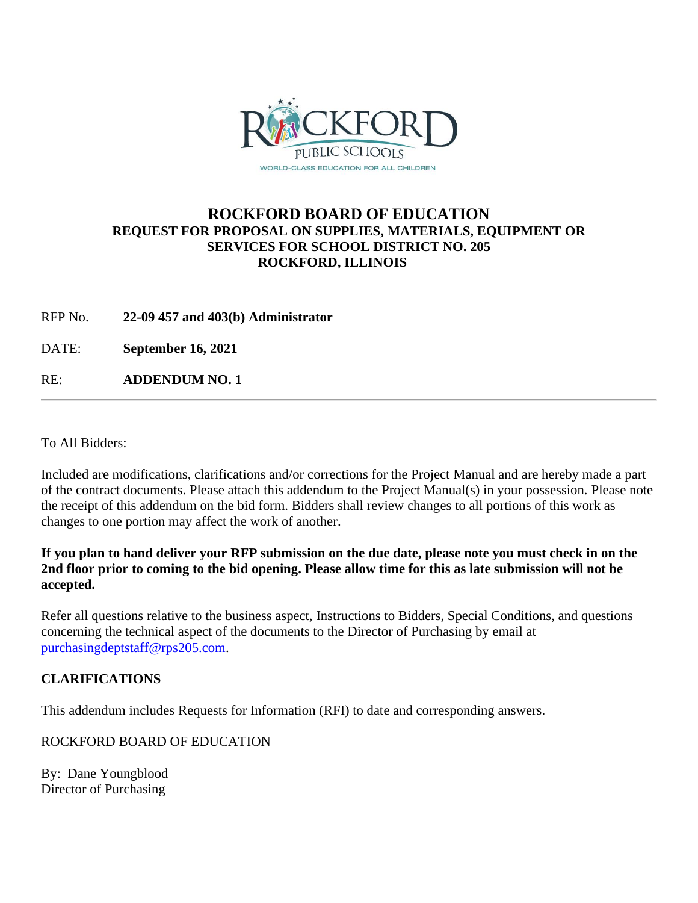

## **ROCKFORD BOARD OF EDUCATION REQUEST FOR PROPOSAL ON SUPPLIES, MATERIALS, EQUIPMENT OR SERVICES FOR SCHOOL DISTRICT NO. 205 ROCKFORD, ILLINOIS**

RFP No. **22-09 457 and 403(b) Administrator**

DATE: **September 16, 2021**

RE: **ADDENDUM NO. 1**

To All Bidders:

Included are modifications, clarifications and/or corrections for the Project Manual and are hereby made a part of the contract documents. Please attach this addendum to the Project Manual(s) in your possession. Please note the receipt of this addendum on the bid form. Bidders shall review changes to all portions of this work as changes to one portion may affect the work of another.

**If you plan to hand deliver your RFP submission on the due date, please note you must check in on the 2nd floor prior to coming to the bid opening. Please allow time for this as late submission will not be accepted.**

Refer all questions relative to the business aspect, Instructions to Bidders, Special Conditions, and questions concerning the technical aspect of the documents to the Director of Purchasing by email at [purchasingdeptstaff@rps205.com.](mailto:purchasingdeptstaff@rps205.com)

## **CLARIFICATIONS**

This addendum includes Requests for Information (RFI) to date and corresponding answers.

ROCKFORD BOARD OF EDUCATION

By: Dane Youngblood Director of Purchasing